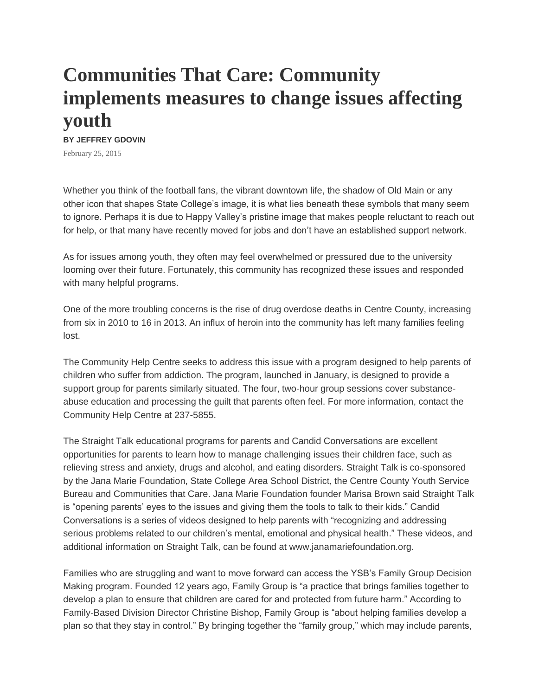## **Communities That Care: Community implements measures to change issues affecting youth**

## **BY JEFFREY GDOVIN**

February 25, 2015

Whether you think of the football fans, the vibrant downtown life, the shadow of Old Main or any other icon that shapes State College's image, it is what lies beneath these symbols that many seem to ignore. Perhaps it is due to Happy Valley's pristine image that makes people reluctant to reach out for help, or that many have recently moved for jobs and don't have an established support network.

As for issues among youth, they often may feel overwhelmed or pressured due to the university looming over their future. Fortunately, this community has recognized these issues and responded with many helpful programs.

One of the more troubling concerns is the rise of drug overdose deaths in Centre County, increasing from six in 2010 to 16 in 2013. An influx of heroin into the community has left many families feeling lost.

The Community Help Centre seeks to address this issue with a program designed to help parents of children who suffer from addiction. The program, launched in January, is designed to provide a support group for parents similarly situated. The four, two-hour group sessions cover substanceabuse education and processing the guilt that parents often feel. For more information, contact the Community Help Centre at 237-5855.

The Straight Talk educational programs for parents and Candid Conversations are excellent opportunities for parents to learn how to manage challenging issues their children face, such as relieving stress and anxiety, drugs and alcohol, and eating disorders. Straight Talk is co-sponsored by the Jana Marie Foundation, State College Area School District, the Centre County Youth Service Bureau and Communities that Care. Jana Marie Foundation founder Marisa Brown said Straight Talk is "opening parents' eyes to the issues and giving them the tools to talk to their kids." Candid Conversations is a series of videos designed to help parents with "recognizing and addressing serious problems related to our children's mental, emotional and physical health." These videos, and additional information on Straight Talk, can be found at www.janamariefoundation.org.

Families who are struggling and want to move forward can access the YSB's Family Group Decision Making program. Founded 12 years ago, Family Group is "a practice that brings families together to develop a plan to ensure that children are cared for and protected from future harm." According to Family-Based Division Director Christine Bishop, Family Group is "about helping families develop a plan so that they stay in control." By bringing together the "family group," which may include parents,